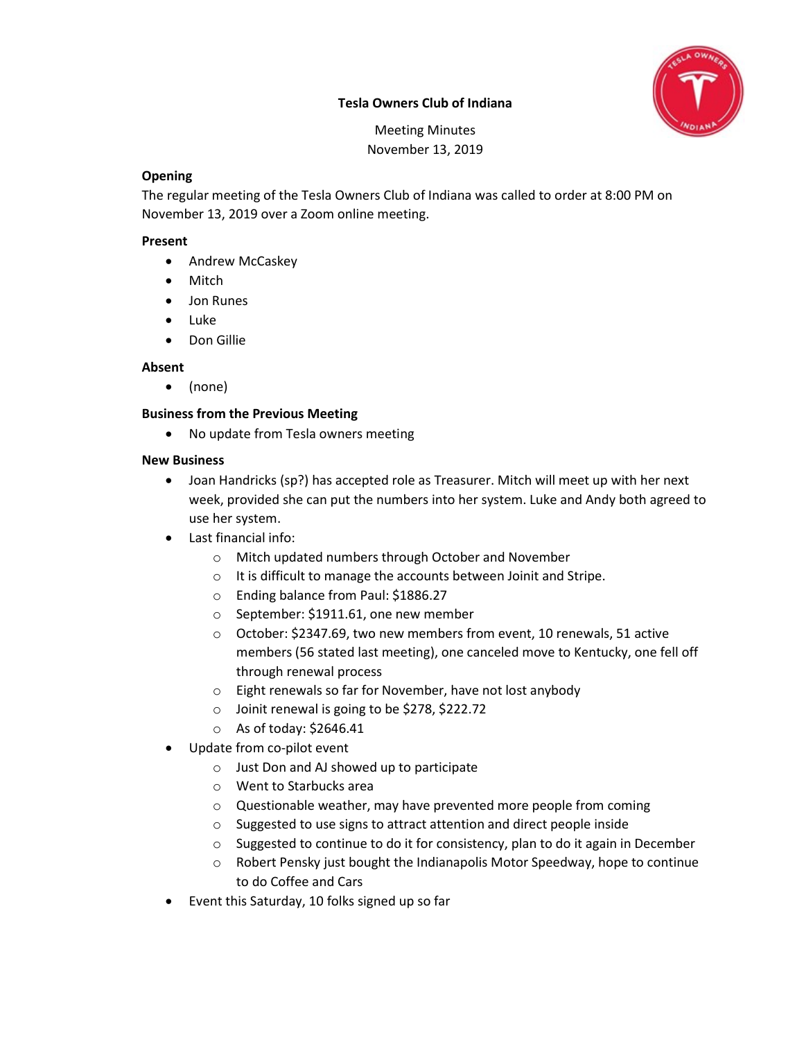# Tesla Owners Club of Indiana



Meeting Minutes November 13, 2019

#### **Opening**

The regular meeting of the Tesla Owners Club of Indiana was called to order at 8:00 PM on November 13, 2019 over a Zoom online meeting.

#### Present

- Andrew McCaskey
- Mitch
- Jon Runes
- Luke
- Don Gillie

## Absent

(none)

# Business from the Previous Meeting

• No update from Tesla owners meeting

## New Business

- Joan Handricks (sp?) has accepted role as Treasurer. Mitch will meet up with her next week, provided she can put the numbers into her system. Luke and Andy both agreed to use her system.
- Last financial info:
	- o Mitch updated numbers through October and November
	- o It is difficult to manage the accounts between Joinit and Stripe.
	- o Ending balance from Paul: \$1886.27
	- o September: \$1911.61, one new member
	- o October: \$2347.69, two new members from event, 10 renewals, 51 active members (56 stated last meeting), one canceled move to Kentucky, one fell off through renewal process
	- o Eight renewals so far for November, have not lost anybody
	- o Joinit renewal is going to be \$278, \$222.72
	- o As of today: \$2646.41
- Update from co-pilot event
	- o Just Don and AJ showed up to participate
	- o Went to Starbucks area
	- o Questionable weather, may have prevented more people from coming
	- o Suggested to use signs to attract attention and direct people inside
	- o Suggested to continue to do it for consistency, plan to do it again in December
	- o Robert Pensky just bought the Indianapolis Motor Speedway, hope to continue to do Coffee and Cars
- Event this Saturday, 10 folks signed up so far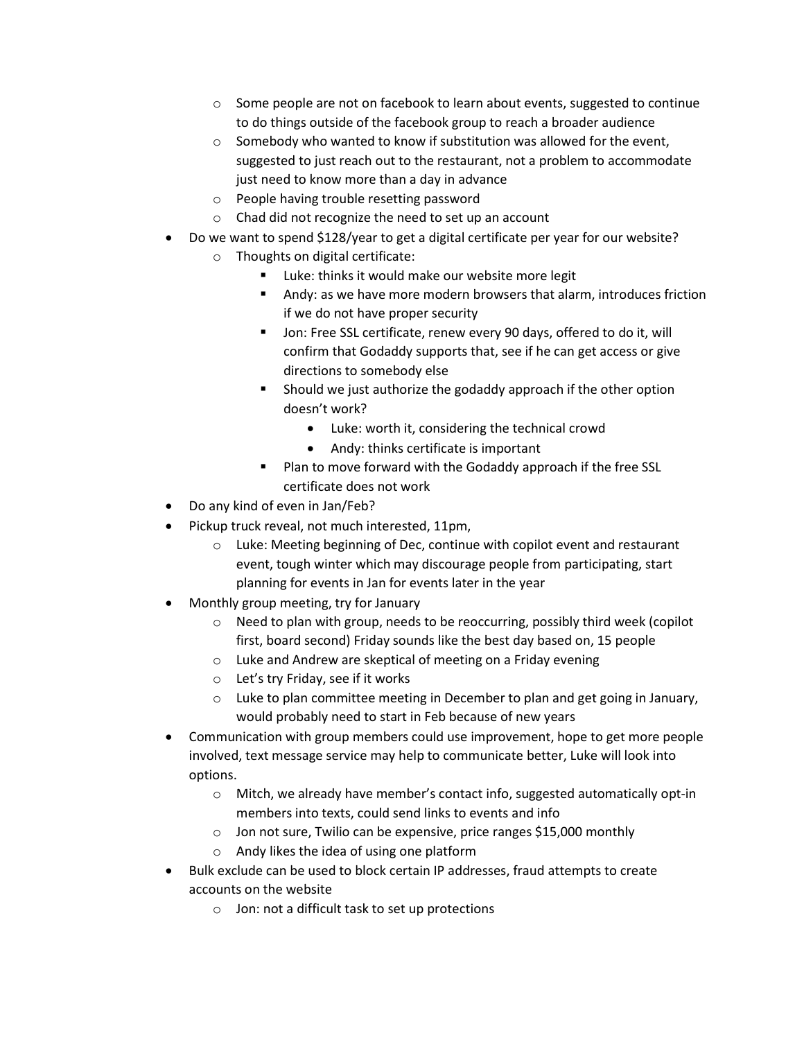- o Some people are not on facebook to learn about events, suggested to continue to do things outside of the facebook group to reach a broader audience
- $\circ$  Somebody who wanted to know if substitution was allowed for the event, suggested to just reach out to the restaurant, not a problem to accommodate just need to know more than a day in advance
- o People having trouble resetting password
- o Chad did not recognize the need to set up an account
- Do we want to spend \$128/year to get a digital certificate per year for our website?
	- o Thoughts on digital certificate:
		- **Luke: thinks it would make our website more legit**
		- Andy: as we have more modern browsers that alarm, introduces friction if we do not have proper security
		- **Jon: Free SSL certificate, renew every 90 days, offered to do it, will** confirm that Godaddy supports that, see if he can get access or give directions to somebody else
		- **Should we just authorize the godaddy approach if the other option** doesn't work?
			- Luke: worth it, considering the technical crowd
			- Andy: thinks certificate is important
		- Plan to move forward with the Godaddy approach if the free SSL certificate does not work
- Do any kind of even in Jan/Feb?
- Pickup truck reveal, not much interested, 11pm,
	- o Luke: Meeting beginning of Dec, continue with copilot event and restaurant event, tough winter which may discourage people from participating, start planning for events in Jan for events later in the year
- Monthly group meeting, try for January
	- o Need to plan with group, needs to be reoccurring, possibly third week (copilot first, board second) Friday sounds like the best day based on, 15 people
	- o Luke and Andrew are skeptical of meeting on a Friday evening
	- o Let's try Friday, see if it works
	- o Luke to plan committee meeting in December to plan and get going in January, would probably need to start in Feb because of new years
- Communication with group members could use improvement, hope to get more people involved, text message service may help to communicate better, Luke will look into options.
	- o Mitch, we already have member's contact info, suggested automatically opt-in members into texts, could send links to events and info
	- o Jon not sure, Twilio can be expensive, price ranges \$15,000 monthly
	- o Andy likes the idea of using one platform
- Bulk exclude can be used to block certain IP addresses, fraud attempts to create accounts on the website
	- o Jon: not a difficult task to set up protections